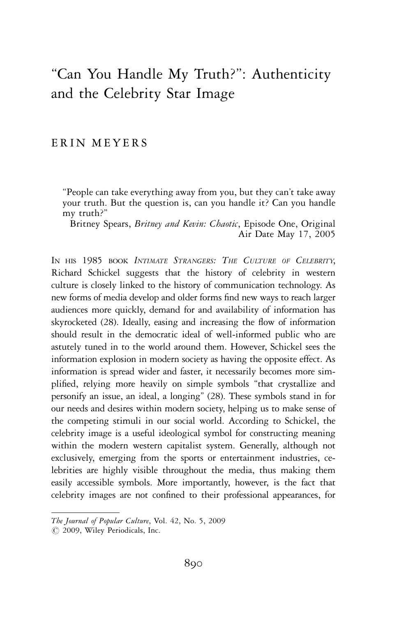# "Can You Handle My Truth?": Authenticity and the Celebrity Star Image

#### ERIN MEYERS

''People can take everything away from you, but they can't take away your truth. But the question is, can you handle it? Can you handle my truth?''

Britney Spears, Britney and Kevin: Chaotic, Episode One, Original Air Date May 17, 2005

IN HIS 1985 BOOK INTIMATE STRANGERS: THE CULTURE OF CELEBRITY, Richard Schickel suggests that the history of celebrity in western culture is closely linked to the history of communication technology. As new forms of media develop and older forms find new ways to reach larger audiences more quickly, demand for and availability of information has skyrocketed (28). Ideally, easing and increasing the flow of information should result in the democratic ideal of well-informed public who are astutely tuned in to the world around them. However, Schickel sees the information explosion in modern society as having the opposite effect. As information is spread wider and faster, it necessarily becomes more simplified, relying more heavily on simple symbols ''that crystallize and personify an issue, an ideal, a longing'' (28). These symbols stand in for our needs and desires within modern society, helping us to make sense of the competing stimuli in our social world. According to Schickel, the celebrity image is a useful ideological symbol for constructing meaning within the modern western capitalist system. Generally, although not exclusively, emerging from the sports or entertainment industries, celebrities are highly visible throughout the media, thus making them easily accessible symbols. More importantly, however, is the fact that celebrity images are not confined to their professional appearances, for

The Journal of Popular Culture, Vol. 42, No. 5, 2009

 $\circ$  2009, Wiley Periodicals, Inc.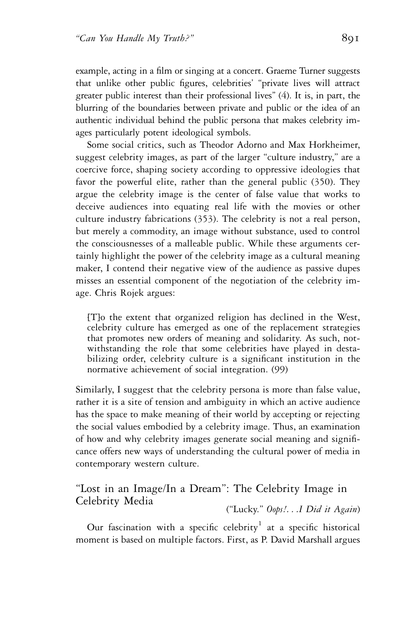example, acting in a film or singing at a concert. Graeme Turner suggests that unlike other public figures, celebrities' ''private lives will attract greater public interest than their professional lives'' (4). It is, in part, the blurring of the boundaries between private and public or the idea of an authentic individual behind the public persona that makes celebrity images particularly potent ideological symbols.

Some social critics, such as Theodor Adorno and Max Horkheimer, suggest celebrity images, as part of the larger ''culture industry,'' are a coercive force, shaping society according to oppressive ideologies that favor the powerful elite, rather than the general public (350). They argue the celebrity image is the center of false value that works to deceive audiences into equating real life with the movies or other culture industry fabrications (353). The celebrity is not a real person, but merely a commodity, an image without substance, used to control the consciousnesses of a malleable public. While these arguments certainly highlight the power of the celebrity image as a cultural meaning maker, I contend their negative view of the audience as passive dupes misses an essential component of the negotiation of the celebrity image. Chris Rojek argues:

[T]o the extent that organized religion has declined in the West, celebrity culture has emerged as one of the replacement strategies that promotes new orders of meaning and solidarity. As such, notwithstanding the role that some celebrities have played in destabilizing order, celebrity culture is a significant institution in the normative achievement of social integration. (99)

Similarly, I suggest that the celebrity persona is more than false value, rather it is a site of tension and ambiguity in which an active audience has the space to make meaning of their world by accepting or rejecting the social values embodied by a celebrity image. Thus, an examination of how and why celebrity images generate social meaning and significance offers new ways of understanding the cultural power of media in contemporary western culture.

## "Lost in an Image/In a Dream": The Celebrity Image in Celebrity Media<br>
("Lucky." Oops!...I Did it Again)

Our fascination with a specific celebrity<sup>1</sup> at a specific historical moment is based on multiple factors. First, as P. David Marshall argues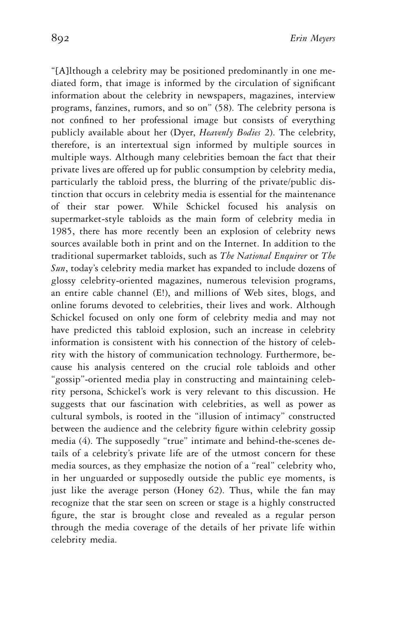''[A]lthough a celebrity may be positioned predominantly in one mediated form, that image is informed by the circulation of significant information about the celebrity in newspapers, magazines, interview programs, fanzines, rumors, and so on'' (58). The celebrity persona is not confined to her professional image but consists of everything publicly available about her (Dyer, Heavenly Bodies 2). The celebrity, therefore, is an intertextual sign informed by multiple sources in multiple ways. Although many celebrities bemoan the fact that their private lives are offered up for public consumption by celebrity media, particularly the tabloid press, the blurring of the private/public distinction that occurs in celebrity media is essential for the maintenance of their star power. While Schickel focused his analysis on supermarket-style tabloids as the main form of celebrity media in 1985, there has more recently been an explosion of celebrity news sources available both in print and on the Internet. In addition to the traditional supermarket tabloids, such as The National Enquirer or The Sun, today's celebrity media market has expanded to include dozens of glossy celebrity-oriented magazines, numerous television programs, an entire cable channel (E!), and millions of Web sites, blogs, and online forums devoted to celebrities, their lives and work. Although Schickel focused on only one form of celebrity media and may not have predicted this tabloid explosion, such an increase in celebrity information is consistent with his connection of the history of celebrity with the history of communication technology. Furthermore, because his analysis centered on the crucial role tabloids and other ''gossip''-oriented media play in constructing and maintaining celebrity persona, Schickel's work is very relevant to this discussion. He suggests that our fascination with celebrities, as well as power as cultural symbols, is rooted in the ''illusion of intimacy'' constructed between the audience and the celebrity figure within celebrity gossip media (4). The supposedly ''true'' intimate and behind-the-scenes details of a celebrity's private life are of the utmost concern for these media sources, as they emphasize the notion of a ''real'' celebrity who, in her unguarded or supposedly outside the public eye moments, is just like the average person (Honey 62). Thus, while the fan may recognize that the star seen on screen or stage is a highly constructed figure, the star is brought close and revealed as a regular person through the media coverage of the details of her private life within celebrity media.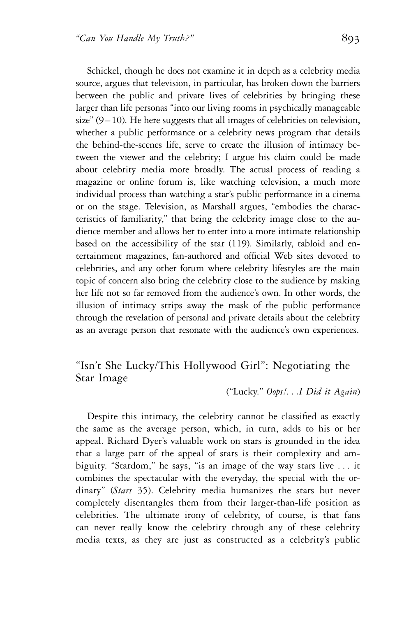Schickel, though he does not examine it in depth as a celebrity media source, argues that television, in particular, has broken down the barriers between the public and private lives of celebrities by bringing these larger than life personas ''into our living rooms in psychically manageable size"  $(9-10)$ . He here suggests that all images of celebrities on television, whether a public performance or a celebrity news program that details the behind-the-scenes life, serve to create the illusion of intimacy between the viewer and the celebrity; I argue his claim could be made about celebrity media more broadly. The actual process of reading a magazine or online forum is, like watching television, a much more individual process than watching a star's public performance in a cinema or on the stage. Television, as Marshall argues, ''embodies the characteristics of familiarity,'' that bring the celebrity image close to the audience member and allows her to enter into a more intimate relationship based on the accessibility of the star (119). Similarly, tabloid and entertainment magazines, fan-authored and official Web sites devoted to celebrities, and any other forum where celebrity lifestyles are the main topic of concern also bring the celebrity close to the audience by making her life not so far removed from the audience's own. In other words, the illusion of intimacy strips away the mask of the public performance through the revelation of personal and private details about the celebrity as an average person that resonate with the audience's own experiences.

"Isn't She Lucky/This Hollywood Girl": Negotiating the Star Image

(''Lucky.'' Oops!. . .I Did it Again)

Despite this intimacy, the celebrity cannot be classified as exactly the same as the average person, which, in turn, adds to his or her appeal. Richard Dyer's valuable work on stars is grounded in the idea that a large part of the appeal of stars is their complexity and ambiguity. "Stardom," he says, "is an image of the way stars live ... it combines the spectacular with the everyday, the special with the ordinary" (Stars 35). Celebrity media humanizes the stars but never completely disentangles them from their larger-than-life position as celebrities. The ultimate irony of celebrity, of course, is that fans can never really know the celebrity through any of these celebrity media texts, as they are just as constructed as a celebrity's public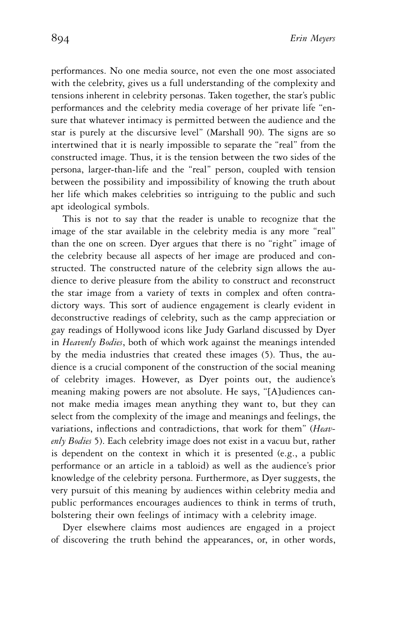performances. No one media source, not even the one most associated with the celebrity, gives us a full understanding of the complexity and tensions inherent in celebrity personas. Taken together, the star's public performances and the celebrity media coverage of her private life ''ensure that whatever intimacy is permitted between the audience and the star is purely at the discursive level'' (Marshall 90). The signs are so intertwined that it is nearly impossible to separate the "real" from the constructed image. Thus, it is the tension between the two sides of the persona, larger-than-life and the ''real'' person, coupled with tension between the possibility and impossibility of knowing the truth about her life which makes celebrities so intriguing to the public and such apt ideological symbols.

This is not to say that the reader is unable to recognize that the image of the star available in the celebrity media is any more "real" than the one on screen. Dyer argues that there is no "right" image of the celebrity because all aspects of her image are produced and constructed. The constructed nature of the celebrity sign allows the audience to derive pleasure from the ability to construct and reconstruct the star image from a variety of texts in complex and often contradictory ways. This sort of audience engagement is clearly evident in deconstructive readings of celebrity, such as the camp appreciation or gay readings of Hollywood icons like Judy Garland discussed by Dyer in Heavenly Bodies, both of which work against the meanings intended by the media industries that created these images (5). Thus, the audience is a crucial component of the construction of the social meaning of celebrity images. However, as Dyer points out, the audience's meaning making powers are not absolute. He says, ''[A]udiences cannot make media images mean anything they want to, but they can select from the complexity of the image and meanings and feelings, the variations, inflections and contradictions, that work for them'' (Heavenly Bodies 5). Each celebrity image does not exist in a vacuu but, rather is dependent on the context in which it is presented (e.g., a public performance or an article in a tabloid) as well as the audience's prior knowledge of the celebrity persona. Furthermore, as Dyer suggests, the very pursuit of this meaning by audiences within celebrity media and public performances encourages audiences to think in terms of truth, bolstering their own feelings of intimacy with a celebrity image.

Dyer elsewhere claims most audiences are engaged in a project of discovering the truth behind the appearances, or, in other words,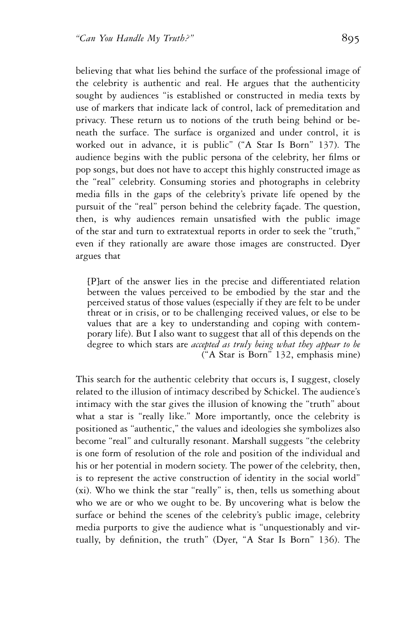believing that what lies behind the surface of the professional image of the celebrity is authentic and real. He argues that the authenticity sought by audiences "is established or constructed in media texts by use of markers that indicate lack of control, lack of premeditation and privacy. These return us to notions of the truth being behind or beneath the surface. The surface is organized and under control, it is worked out in advance, it is public" ("A Star Is Born" 137). The audience begins with the public persona of the celebrity, her films or pop songs, but does not have to accept this highly constructed image as the ''real'' celebrity. Consuming stories and photographs in celebrity media fills in the gaps of the celebrity's private life opened by the pursuit of the "real" person behind the celebrity façade. The question, then, is why audiences remain unsatisfied with the public image of the star and turn to extratextual reports in order to seek the ''truth,'' even if they rationally are aware those images are constructed. Dyer argues that

[P]art of the answer lies in the precise and differentiated relation between the values perceived to be embodied by the star and the perceived status of those values (especially if they are felt to be under threat or in crisis, or to be challenging received values, or else to be values that are a key to understanding and coping with contemporary life). But I also want to suggest that all of this depends on the degree to which stars are accepted as truly being what they appear to be (''A Star is Born'' 132, emphasis mine)

This search for the authentic celebrity that occurs is, I suggest, closely related to the illusion of intimacy described by Schickel. The audience's intimacy with the star gives the illusion of knowing the "truth" about what a star is "really like." More importantly, once the celebrity is positioned as ''authentic,'' the values and ideologies she symbolizes also become "real" and culturally resonant. Marshall suggests "the celebrity is one form of resolution of the role and position of the individual and his or her potential in modern society. The power of the celebrity, then, is to represent the active construction of identity in the social world'' (xi). Who we think the star ''really'' is, then, tells us something about who we are or who we ought to be. By uncovering what is below the surface or behind the scenes of the celebrity's public image, celebrity media purports to give the audience what is ''unquestionably and virtually, by definition, the truth" (Dyer, "A Star Is Born" 136). The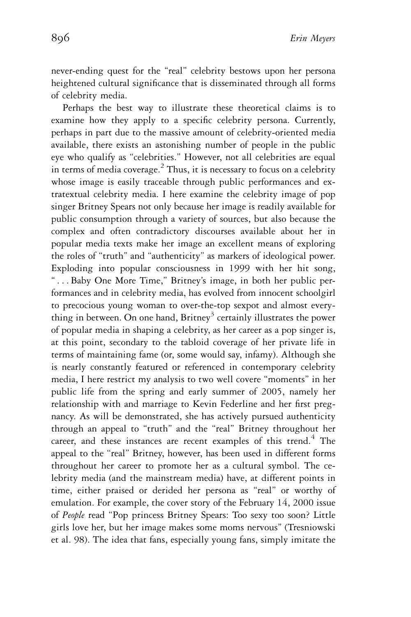never-ending quest for the "real" celebrity bestows upon her persona heightened cultural significance that is disseminated through all forms of celebrity media.

Perhaps the best way to illustrate these theoretical claims is to examine how they apply to a specific celebrity persona. Currently, perhaps in part due to the massive amount of celebrity-oriented media available, there exists an astonishing number of people in the public eye who qualify as ''celebrities.'' However, not all celebrities are equal in terms of media coverage.<sup>2</sup> Thus, it is necessary to focus on a celebrity whose image is easily traceable through public performances and extratextual celebrity media. I here examine the celebrity image of pop singer Britney Spears not only because her image is readily available for public consumption through a variety of sources, but also because the complex and often contradictory discourses available about her in popular media texts make her image an excellent means of exploring the roles of ''truth'' and ''authenticity'' as markers of ideological power. Exploding into popular consciousness in 1999 with her hit song, '' . . . Baby One More Time,'' Britney's image, in both her public performances and in celebrity media, has evolved from innocent schoolgirl to precocious young woman to over-the-top sexpot and almost everything in between. On one hand, Britney<sup>3</sup> certainly illustrates the power of popular media in shaping a celebrity, as her career as a pop singer is, at this point, secondary to the tabloid coverage of her private life in terms of maintaining fame (or, some would say, infamy). Although she is nearly constantly featured or referenced in contemporary celebrity media, I here restrict my analysis to two well covere ''moments'' in her public life from the spring and early summer of 2005, namely her relationship with and marriage to Kevin Federline and her first pregnancy. As will be demonstrated, she has actively pursued authenticity through an appeal to "truth" and the "real" Britney throughout her career, and these instances are recent examples of this trend. $4$  The appeal to the "real" Britney, however, has been used in different forms throughout her career to promote her as a cultural symbol. The celebrity media (and the mainstream media) have, at different points in time, either praised or derided her persona as ''real'' or worthy of emulation. For example, the cover story of the February 14, 2000 issue of People read ''Pop princess Britney Spears: Too sexy too soon? Little girls love her, but her image makes some moms nervous'' (Tresniowski et al. 98). The idea that fans, especially young fans, simply imitate the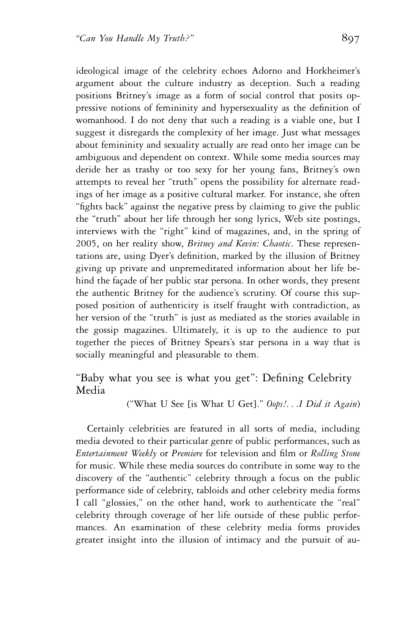ideological image of the celebrity echoes Adorno and Horkheimer's argument about the culture industry as deception. Such a reading positions Britney's image as a form of social control that posits oppressive notions of femininity and hypersexuality as the definition of womanhood. I do not deny that such a reading is a viable one, but I suggest it disregards the complexity of her image. Just what messages about femininity and sexuality actually are read onto her image can be ambiguous and dependent on context. While some media sources may deride her as trashy or too sexy for her young fans, Britney's own attempts to reveal her ''truth'' opens the possibility for alternate readings of her image as a positive cultural marker. For instance, she often ''fights back'' against the negative press by claiming to give the public the ''truth'' about her life through her song lyrics, Web site postings, interviews with the "right" kind of magazines, and, in the spring of 2005, on her reality show, Britney and Kevin: Chaotic. These representations are, using Dyer's definition, marked by the illusion of Britney giving up private and unpremeditated information about her life behind the facade of her public star persona. In other words, they present the authentic Britney for the audience's scrutiny. Of course this supposed position of authenticity is itself fraught with contradiction, as her version of the "truth" is just as mediated as the stories available in the gossip magazines. Ultimately, it is up to the audience to put together the pieces of Britney Spears's star persona in a way that is socially meaningful and pleasurable to them.

"Baby what you see is what you get": Defining Celebrity Media

(''What U See [is What U Get].'' Oops!. . .I Did it Again)

Certainly celebrities are featured in all sorts of media, including media devoted to their particular genre of public performances, such as Entertainment Weekly or Premiere for television and film or Rolling Stone for music. While these media sources do contribute in some way to the discovery of the "authentic" celebrity through a focus on the public performance side of celebrity, tabloids and other celebrity media forms I call "glossies," on the other hand, work to authenticate the "real" celebrity through coverage of her life outside of these public performances. An examination of these celebrity media forms provides greater insight into the illusion of intimacy and the pursuit of au-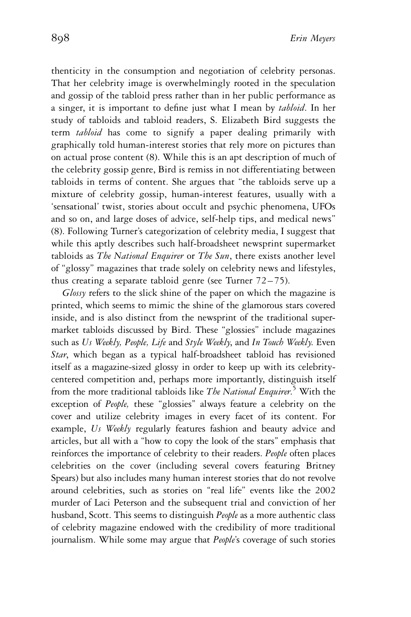thenticity in the consumption and negotiation of celebrity personas. That her celebrity image is overwhelmingly rooted in the speculation and gossip of the tabloid press rather than in her public performance as a singer, it is important to define just what I mean by tabloid. In her study of tabloids and tabloid readers, S. Elizabeth Bird suggests the term tabloid has come to signify a paper dealing primarily with graphically told human-interest stories that rely more on pictures than on actual prose content (8). While this is an apt description of much of the celebrity gossip genre, Bird is remiss in not differentiating between tabloids in terms of content. She argues that ''the tabloids serve up a mixture of celebrity gossip, human-interest features, usually with a 'sensational' twist, stories about occult and psychic phenomena, UFOs and so on, and large doses of advice, self-help tips, and medical news'' (8). Following Turner's categorization of celebrity media, I suggest that while this aptly describes such half-broadsheet newsprint supermarket tabloids as The National Enquirer or The Sun, there exists another level of ''glossy'' magazines that trade solely on celebrity news and lifestyles, thus creating a separate tabloid genre (see Turner  $72-75$ ).

Glossy refers to the slick shine of the paper on which the magazine is printed, which seems to mimic the shine of the glamorous stars covered inside, and is also distinct from the newsprint of the traditional supermarket tabloids discussed by Bird. These ''glossies'' include magazines such as Us Weekly, People, Life and Style Weekly, and In Touch Weekly. Even Star, which began as a typical half-broadsheet tabloid has revisioned itself as a magazine-sized glossy in order to keep up with its celebritycentered competition and, perhaps more importantly, distinguish itself from the more traditional tabloids like *The National Enquirer*.<sup>5</sup> With the exception of People, these "glossies" always feature a celebrity on the cover and utilize celebrity images in every facet of its content. For example, Us Weekly regularly features fashion and beauty advice and articles, but all with a ''how to copy the look of the stars'' emphasis that reinforces the importance of celebrity to their readers. People often places celebrities on the cover (including several covers featuring Britney Spears) but also includes many human interest stories that do not revolve around celebrities, such as stories on ''real life'' events like the 2002 murder of Laci Peterson and the subsequent trial and conviction of her husband, Scott. This seems to distinguish People as a more authentic class of celebrity magazine endowed with the credibility of more traditional journalism. While some may argue that *People's* coverage of such stories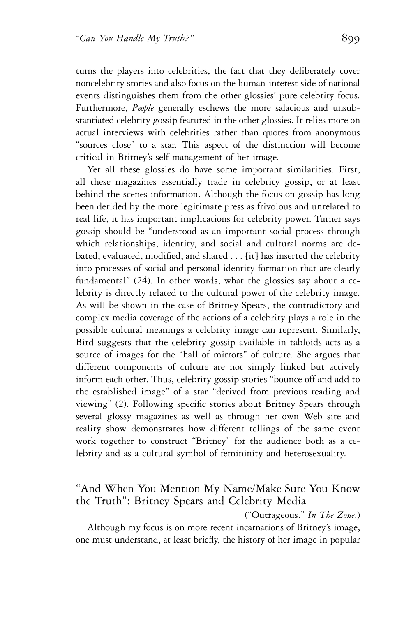turns the players into celebrities, the fact that they deliberately cover noncelebrity stories and also focus on the human-interest side of national events distinguishes them from the other glossies' pure celebrity focus. Furthermore, People generally eschews the more salacious and unsubstantiated celebrity gossip featured in the other glossies. It relies more on actual interviews with celebrities rather than quotes from anonymous ''sources close'' to a star. This aspect of the distinction will become critical in Britney's self-management of her image.

Yet all these glossies do have some important similarities. First, all these magazines essentially trade in celebrity gossip, or at least behind-the-scenes information. Although the focus on gossip has long been derided by the more legitimate press as frivolous and unrelated to real life, it has important implications for celebrity power. Turner says gossip should be ''understood as an important social process through which relationships, identity, and social and cultural norms are debated, evaluated, modified, and shared . . . [it] has inserted the celebrity into processes of social and personal identity formation that are clearly fundamental'' (24). In other words, what the glossies say about a celebrity is directly related to the cultural power of the celebrity image. As will be shown in the case of Britney Spears, the contradictory and complex media coverage of the actions of a celebrity plays a role in the possible cultural meanings a celebrity image can represent. Similarly, Bird suggests that the celebrity gossip available in tabloids acts as a source of images for the ''hall of mirrors'' of culture. She argues that different components of culture are not simply linked but actively inform each other. Thus, celebrity gossip stories ''bounce off and add to the established image'' of a star ''derived from previous reading and viewing'' (2). Following specific stories about Britney Spears through several glossy magazines as well as through her own Web site and reality show demonstrates how different tellings of the same event work together to construct ''Britney'' for the audience both as a celebrity and as a cultural symbol of femininity and heterosexuality.

### "And When You Mention My Name/Make Sure You Know the Truth'': Britney Spears and Celebrity Media

(''Outrageous.'' In The Zone.)

Although my focus is on more recent incarnations of Britney's image, one must understand, at least briefly, the history of her image in popular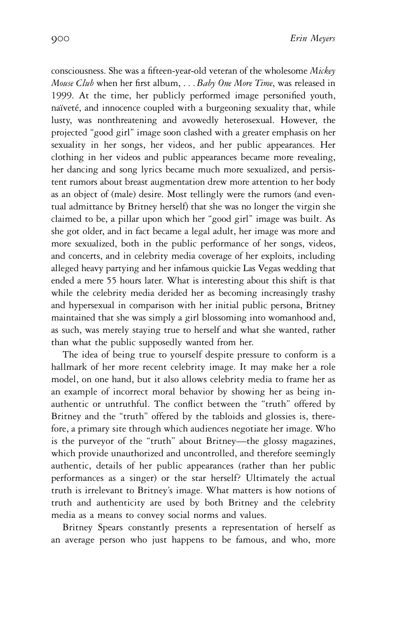consciousness. She was a fifteen-year-old veteran of the wholesome Mickey Mouse Club when her first album, . . . Baby One More Time, was released in 1999. At the time, her publicly performed image personified youth, naïveté, and innocence coupled with a burgeoning sexuality that, while lusty, was nonthreatening and avowedly heterosexual. However, the projected ''good girl'' image soon clashed with a greater emphasis on her sexuality in her songs, her videos, and her public appearances. Her clothing in her videos and public appearances became more revealing, her dancing and song lyrics became much more sexualized, and persistent rumors about breast augmentation drew more attention to her body as an object of (male) desire. Most tellingly were the rumors (and eventual admittance by Britney herself) that she was no longer the virgin she claimed to be, a pillar upon which her ''good girl'' image was built. As she got older, and in fact became a legal adult, her image was more and more sexualized, both in the public performance of her songs, videos, and concerts, and in celebrity media coverage of her exploits, including alleged heavy partying and her infamous quickie Las Vegas wedding that ended a mere 55 hours later. What is interesting about this shift is that while the celebrity media derided her as becoming increasingly trashy and hypersexual in comparison with her initial public persona, Britney maintained that she was simply a girl blossoming into womanhood and, as such, was merely staying true to herself and what she wanted, rather than what the public supposedly wanted from her.

The idea of being true to yourself despite pressure to conform is a hallmark of her more recent celebrity image. It may make her a role model, on one hand, but it also allows celebrity media to frame her as an example of incorrect moral behavior by showing her as being inauthentic or untruthful. The conflict between the "truth" offered by Britney and the "truth" offered by the tabloids and glossies is, therefore, a primary site through which audiences negotiate her image. Who is the purveyor of the "truth" about Britney—the glossy magazines, which provide unauthorized and uncontrolled, and therefore seemingly authentic, details of her public appearances (rather than her public performances as a singer) or the star herself? Ultimately the actual truth is irrelevant to Britney's image. What matters is how notions of truth and authenticity are used by both Britney and the celebrity media as a means to convey social norms and values.

Britney Spears constantly presents a representation of herself as an average person who just happens to be famous, and who, more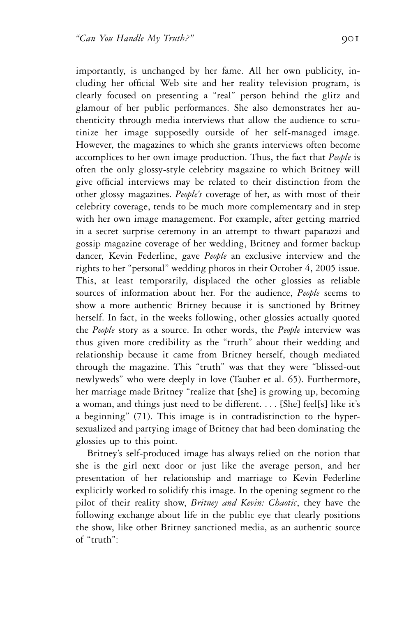importantly, is unchanged by her fame. All her own publicity, including her official Web site and her reality television program, is clearly focused on presenting a ''real'' person behind the glitz and glamour of her public performances. She also demonstrates her authenticity through media interviews that allow the audience to scrutinize her image supposedly outside of her self-managed image. However, the magazines to which she grants interviews often become accomplices to her own image production. Thus, the fact that People is often the only glossy-style celebrity magazine to which Britney will give official interviews may be related to their distinction from the other glossy magazines. People's coverage of her, as with most of their celebrity coverage, tends to be much more complementary and in step with her own image management. For example, after getting married in a secret surprise ceremony in an attempt to thwart paparazzi and gossip magazine coverage of her wedding, Britney and former backup dancer, Kevin Federline, gave People an exclusive interview and the rights to her ''personal'' wedding photos in their October 4, 2005 issue. This, at least temporarily, displaced the other glossies as reliable sources of information about her. For the audience, People seems to show a more authentic Britney because it is sanctioned by Britney herself. In fact, in the weeks following, other glossies actually quoted the People story as a source. In other words, the People interview was thus given more credibility as the "truth" about their wedding and relationship because it came from Britney herself, though mediated through the magazine. This ''truth'' was that they were ''blissed-out newlyweds'' who were deeply in love (Tauber et al. 65). Furthermore, her marriage made Britney "realize that [she] is growing up, becoming a woman, and things just need to be different. . . . [She] feel[s] like it's a beginning'' (71). This image is in contradistinction to the hypersexualized and partying image of Britney that had been dominating the glossies up to this point.

Britney's self-produced image has always relied on the notion that she is the girl next door or just like the average person, and her presentation of her relationship and marriage to Kevin Federline explicitly worked to solidify this image. In the opening segment to the pilot of their reality show, Britney and Kevin: Chaotic, they have the following exchange about life in the public eye that clearly positions the show, like other Britney sanctioned media, as an authentic source of ''truth'':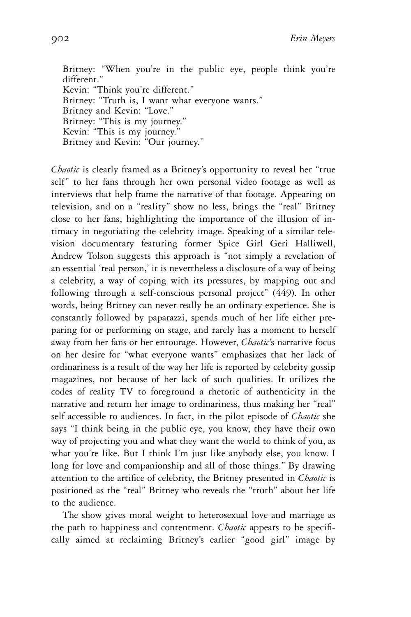Britney: "When you're in the public eye, people think you're different.'' Kevin: "Think you're different." Britney: ''Truth is, I want what everyone wants.'' Britney and Kevin: "Love." Britney: "This is my journey." Kevin: "This is my journey." Britney and Kevin: "Our journey."

Chaotic is clearly framed as a Britney's opportunity to reveal her "true self'' to her fans through her own personal video footage as well as interviews that help frame the narrative of that footage. Appearing on television, and on a ''reality'' show no less, brings the ''real'' Britney close to her fans, highlighting the importance of the illusion of intimacy in negotiating the celebrity image. Speaking of a similar television documentary featuring former Spice Girl Geri Halliwell, Andrew Tolson suggests this approach is ''not simply a revelation of an essential 'real person,' it is nevertheless a disclosure of a way of being a celebrity, a way of coping with its pressures, by mapping out and following through a self-conscious personal project'' (449). In other words, being Britney can never really be an ordinary experience. She is constantly followed by paparazzi, spends much of her life either preparing for or performing on stage, and rarely has a moment to herself away from her fans or her entourage. However, Chaotic's narrative focus on her desire for ''what everyone wants'' emphasizes that her lack of ordinariness is a result of the way her life is reported by celebrity gossip magazines, not because of her lack of such qualities. It utilizes the codes of reality TV to foreground a rhetoric of authenticity in the narrative and return her image to ordinariness, thus making her "real" self accessible to audiences. In fact, in the pilot episode of *Chaotic* she says ''I think being in the public eye, you know, they have their own way of projecting you and what they want the world to think of you, as what you're like. But I think I'm just like anybody else, you know. I long for love and companionship and all of those things.'' By drawing attention to the artifice of celebrity, the Britney presented in *Chaotic* is positioned as the "real" Britney who reveals the "truth" about her life to the audience.

The show gives moral weight to heterosexual love and marriage as the path to happiness and contentment. Chaotic appears to be specifically aimed at reclaiming Britney's earlier ''good girl'' image by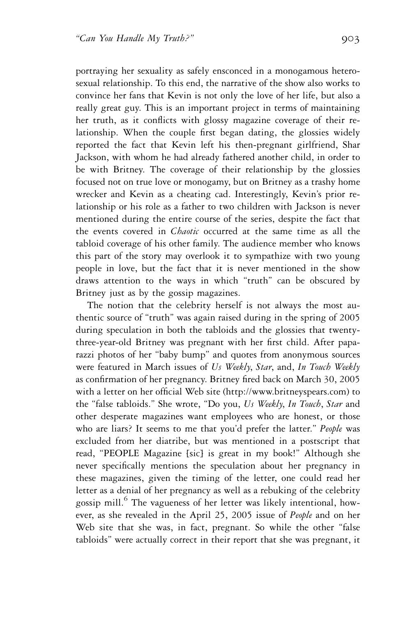portraying her sexuality as safely ensconced in a monogamous heterosexual relationship. To this end, the narrative of the show also works to convince her fans that Kevin is not only the love of her life, but also a really great guy. This is an important project in terms of maintaining her truth, as it conflicts with glossy magazine coverage of their relationship. When the couple first began dating, the glossies widely reported the fact that Kevin left his then-pregnant girlfriend, Shar Jackson, with whom he had already fathered another child, in order to be with Britney. The coverage of their relationship by the glossies focused not on true love or monogamy, but on Britney as a trashy home wrecker and Kevin as a cheating cad. Interestingly, Kevin's prior relationship or his role as a father to two children with Jackson is never mentioned during the entire course of the series, despite the fact that the events covered in *Chaotic* occurred at the same time as all the tabloid coverage of his other family. The audience member who knows this part of the story may overlook it to sympathize with two young people in love, but the fact that it is never mentioned in the show draws attention to the ways in which "truth" can be obscured by Britney just as by the gossip magazines.

The notion that the celebrity herself is not always the most authentic source of ''truth'' was again raised during in the spring of 2005 during speculation in both the tabloids and the glossies that twentythree-year-old Britney was pregnant with her first child. After paparazzi photos of her ''baby bump'' and quotes from anonymous sources were featured in March issues of Us Weekly, Star, and, In Touch Weekly as confirmation of her pregnancy. Britney fired back on March 30, 2005 with a letter on her official Web site [\(http://www.britneyspears.com\) to](http://www.britneyspears.com) [the ''false tabloids.'' She wrote, ''Do you,](http://www.britneyspears.com) Us Weekly, In Touch, Star and [other desperate magazines want employees who are honest, or those](http://www.britneyspears.com) who are liars? It seems to me that you'd prefer the latter." People was [excluded from her diatribe, but was mentioned in a postscript that](http://www.britneyspears.com) [read, ''PEOPLE Magazine \[sic\] is great in my book!'' Although she](http://www.britneyspears.com) [never specifically mentions the speculation about her pregnancy in](http://www.britneyspears.com) [these magazines, given the timing of the letter, one could read her](http://www.britneyspears.com) [letter as a denial of her pregnancy as well as a rebuking of the celebrity](http://www.britneyspears.com) [gossip](http://www.britneyspears.com) [mill.6](http://www.britneyspears.com) [The vagueness of her letter was likely intentional, how](http://www.britneyspears.com)[ever, as she revealed in the April 25, 2005 issue of](http://www.britneyspears.com) People and on her Web site that she was, in fact, pregnant. So while the other "false [tabloids'' were actually correct in their report that she was pregnant, it](http://www.britneyspears.com)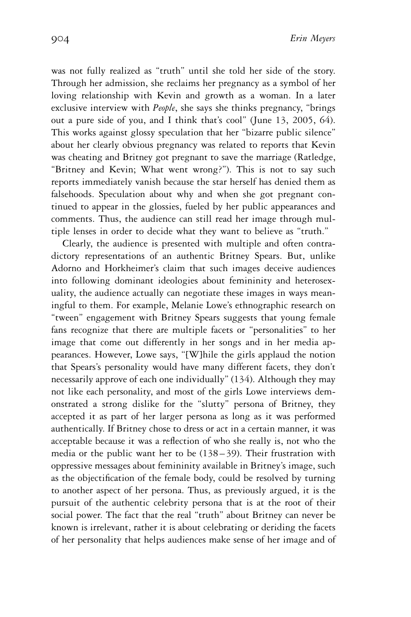[was not fully realized as ''truth'' until she told her side of the story.](http://www.britneyspears.com) [Through her admission, she reclaims her pregnancy as a symbol of her](http://www.britneyspears.com) [loving relationship with Kevin and growth as a woman. In a later](http://www.britneyspears.com) exclusive interview with *People*, she says she thinks pregnancy, "brings" [out a pure side of you, and I think that's cool'' \(June 13, 2005, 64\).](http://www.britneyspears.com) This works against glossy speculation that her "bizarre public silence" [about her clearly obvious pregnancy was related to reports that Kevin](http://www.britneyspears.com) [was cheating and Britney got pregnant to save the marriage \(Ratledge,](http://www.britneyspears.com) "Britney and Kevin; What went wrong?"). This is not to say such [reports immediately vanish because the star herself has denied them as](http://www.britneyspears.com) [falsehoods. Speculation about why and when she got pregnant con](http://www.britneyspears.com)[tinued to appear in the glossies, fueled by her public appearances and](http://www.britneyspears.com) [comments. Thus, the audience can still read her image through mul](http://www.britneyspears.com)[tiple lenses in order to decide what they want to believe as ''truth.''](http://www.britneyspears.com)

Clearly, the audience is presented with multiple and often contradictory representations of an authentic Britney Spears. But, unlike Adorno and Horkheimer's claim that such images deceive audiences into following dominant ideologies about femininity and heterosexuality, the audience actually can negotiate these images in ways meaningful to them. For example, Melanie Lowe's ethnographic research on ''tween'' engagement with Britney Spears suggests that young female fans recognize that there are multiple facets or ''personalities'' to her image that come out differently in her songs and in her media appearances. However, Lowe says, ''[W]hile the girls applaud the notion that Spears's personality would have many different facets, they don't necessarily approve of each one individually'' (134). Although they may not like each personality, and most of the girls Lowe interviews demonstrated a strong dislike for the ''slutty'' persona of Britney, they accepted it as part of her larger persona as long as it was performed authentically. If Britney chose to dress or act in a certain manner, it was acceptable because it was a reflection of who she really is, not who the media or the public want her to be (138 – 39). Their frustration with oppressive messages about femininity available in Britney's image, such as the objectification of the female body, could be resolved by turning to another aspect of her persona. Thus, as previously argued, it is the pursuit of the authentic celebrity persona that is at the root of their social power. The fact that the real "truth" about Britney can never be known is irrelevant, rather it is about celebrating or deriding the facets of her personality that helps audiences make sense of her image and of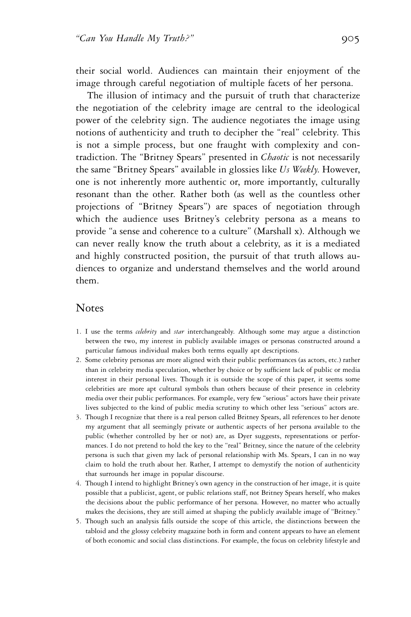their social world. Audiences can maintain their enjoyment of the image through careful negotiation of multiple facets of her persona.

The illusion of intimacy and the pursuit of truth that characterize the negotiation of the celebrity image are central to the ideological power of the celebrity sign. The audience negotiates the image using notions of authenticity and truth to decipher the ''real'' celebrity. This is not a simple process, but one fraught with complexity and contradiction. The "Britney Spears" presented in *Chaotic* is not necessarily the same "Britney Spears" available in glossies like Us Weekly. However, one is not inherently more authentic or, more importantly, culturally resonant than the other. Rather both (as well as the countless other projections of ''Britney Spears'') are spaces of negotiation through which the audience uses Britney's celebrity persona as a means to provide ''a sense and coherence to a culture'' (Marshall x). Although we can never really know the truth about a celebrity, as it is a mediated and highly constructed position, the pursuit of that truth allows audiences to organize and understand themselves and the world around them.

### **Notes**

- 1. I use the terms celebrity and star interchangeably. Although some may argue a distinction between the two, my interest in publicly available images or personas constructed around a particular famous individual makes both terms equally apt descriptions.
- 2. Some celebrity personas are more aligned with their public performances (as actors, etc.) rather than in celebrity media speculation, whether by choice or by sufficient lack of public or media interest in their personal lives. Though it is outside the scope of this paper, it seems some celebrities are more apt cultural symbols than others because of their presence in celebrity media over their public performances. For example, very few ''serious'' actors have their private lives subjected to the kind of public media scrutiny to which other less ''serious'' actors are.
- 3. Though I recognize that there is a real person called Britney Spears, all references to her denote my argument that all seemingly private or authentic aspects of her persona available to the public (whether controlled by her or not) are, as Dyer suggests, representations or performances. I do not pretend to hold the key to the "real" Britney, since the nature of the celebrity persona is such that given my lack of personal relationship with Ms. Spears, I can in no way claim to hold the truth about her. Rather, I attempt to demystify the notion of authenticity that surrounds her image in popular discourse.
- 4. Though I intend to highlight Britney's own agency in the construction of her image, it is quite possible that a publicist, agent, or public relations staff, not Britney Spears herself, who makes the decisions about the public performance of her persona. However, no matter who actually makes the decisions, they are still aimed at shaping the publicly available image of ''Britney.''
- 5. Though such an analysis falls outside the scope of this article, the distinctions between the tabloid and the glossy celebrity magazine both in form and content appears to have an element of both economic and social class distinctions. For example, the focus on celebrity lifestyle and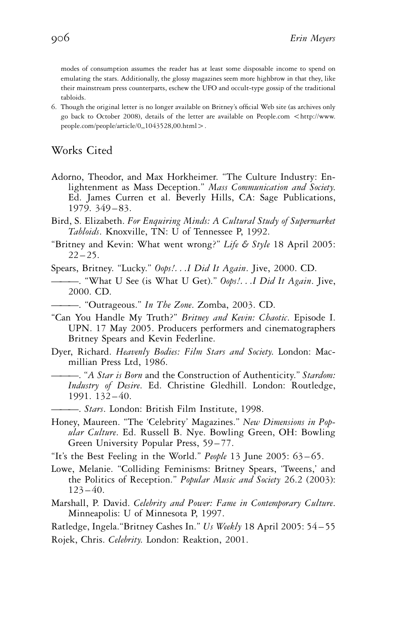modes of consumption assumes the reader has at least some disposable income to spend on emulating the stars. Additionally, the glossy magazines seem more highbrow in that they, like their mainstream press counterparts, eschew the UFO and occult-type gossip of the traditional tabloids.

6. Though the original letter is no longer available on Britney's official Web site (as archives only go back to October 2008), details of the letter are available on People.com <http://www. people.com/people/article/0,,1043528,00.html>.

Works Cited

- Adorno, Theodor, and Max Horkheimer. ''The Culture Industry: Enlightenment as Mass Deception." Mass Communication and Society.<br>Ed. James Curren et al. Beverly Hills, CA: Sage Publications, 1979. 349 – 83.
- Bird, S. Elizabeth. For Enquiring Minds: A Cultural Study of Supermarket Tabloids. Knoxville, TN: U of Tennessee P, 1992.
- "Britney and Kevin: What went wrong?" Life & Style 18 April 2005:  $22 - 25.$
- Spears, Britney. "Lucky." Oops!...I Did It Again. Jive, 2000. CD.
- —. "What U See (is What U Get)." Oops!...I Did It Again. Jive, 2000. CD.

——. "Outrageous." In The Zone. Zomba, 2003. CD.

- "Can You Handle My Truth?" Britney and Kevin: Chaotic. Episode I. UPN. 17 May 2005. Producers performers and cinematographers Britney Spears and Kevin Federline.
- Dyer, Richard. *Heavenly Bodies: Film Stars and Society*. London: Macmillian Press Ltd, 1986.
	- —. "A *Star is Born* and the Construction of Authenticity." Stardom: Industry of Desire. Ed. Christine Gledhill. London: Routledge, 1991. 132 – 40.

———. Stars. London: British Film Institute, 1998.

- Honey, Maureen. "The 'Celebrity' Magazines." New Dimensions in Popular Culture. Ed. Russell B. Nye. Bowling Green, OH: Bowling Green University Popular Press, 59–77.
- "It's the Best Feeling in the World." People 13 June 2005:  $63-65$ .
- Lowe, Melanie. "Colliding Feminisms: Britney Spears, 'Tweens,' and the Politics of Reception." Popular Music and Society 26.2 (2003):  $123 - 40.$
- Marshall, P. David. Celebrity and Power: Fame in Contemporary Culture.<br>Minneapolis: U of Minnesota P, 1997.

Ratledge, Ingela.''Britney Cashes In.'' Us Weekly 18 April 2005: 54 – 55

Rojek, Chris. Celebrity. London: Reaktion, 2001.